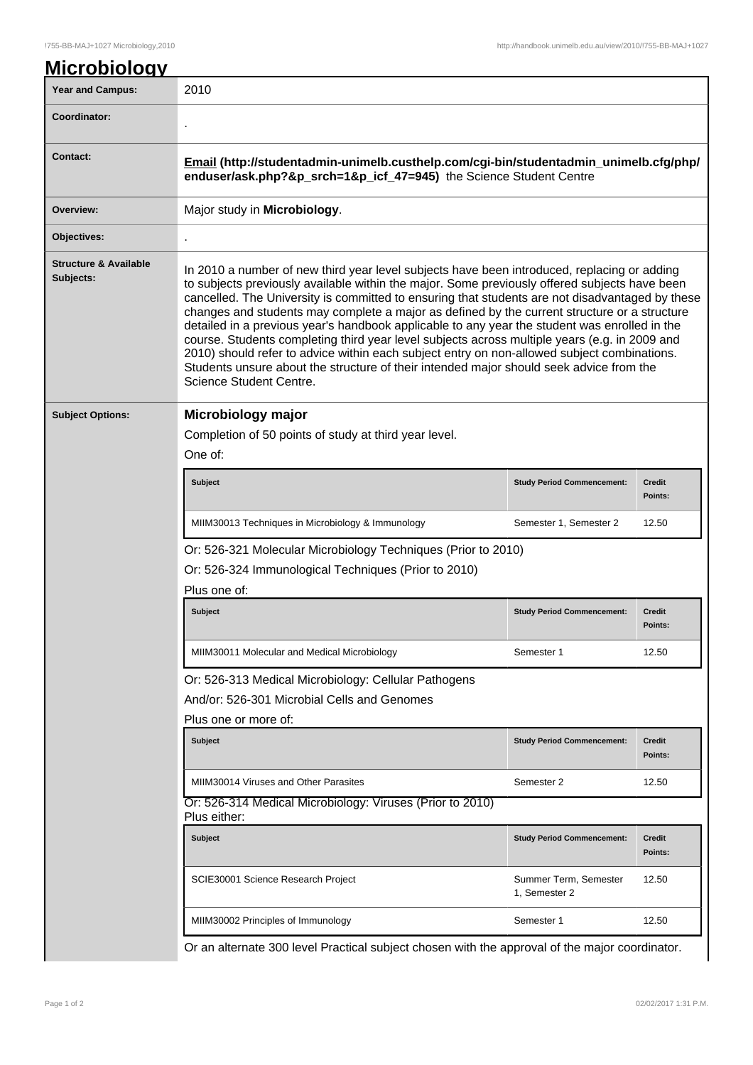## !755-BB-MAJ+1027 Microbiology,2010 http://handbook.unimelb.edu.au/view/2010/!755-BB-MAJ+1027

| <b>Year and Campus:</b>                       | 2010                                                                                                                                                                                                                                                                                                                                                                                                                                                                                                                                                                                                                                                                                                                                                                                                                   |                                        |                          |  |
|-----------------------------------------------|------------------------------------------------------------------------------------------------------------------------------------------------------------------------------------------------------------------------------------------------------------------------------------------------------------------------------------------------------------------------------------------------------------------------------------------------------------------------------------------------------------------------------------------------------------------------------------------------------------------------------------------------------------------------------------------------------------------------------------------------------------------------------------------------------------------------|----------------------------------------|--------------------------|--|
| Coordinator:                                  |                                                                                                                                                                                                                                                                                                                                                                                                                                                                                                                                                                                                                                                                                                                                                                                                                        |                                        |                          |  |
| <b>Contact:</b>                               | Email (http://studentadmin-unimelb.custhelp.com/cgi-bin/studentadmin_unimelb.cfg/php/<br>enduser/ask.php?&p_srch=1&p_icf_47=945) the Science Student Centre                                                                                                                                                                                                                                                                                                                                                                                                                                                                                                                                                                                                                                                            |                                        |                          |  |
| Overview:                                     | Major study in Microbiology.                                                                                                                                                                                                                                                                                                                                                                                                                                                                                                                                                                                                                                                                                                                                                                                           |                                        |                          |  |
| Objectives:                                   |                                                                                                                                                                                                                                                                                                                                                                                                                                                                                                                                                                                                                                                                                                                                                                                                                        |                                        |                          |  |
| <b>Structure &amp; Available</b><br>Subjects: | In 2010 a number of new third year level subjects have been introduced, replacing or adding<br>to subjects previously available within the major. Some previously offered subjects have been<br>cancelled. The University is committed to ensuring that students are not disadvantaged by these<br>changes and students may complete a major as defined by the current structure or a structure<br>detailed in a previous year's handbook applicable to any year the student was enrolled in the<br>course. Students completing third year level subjects across multiple years (e.g. in 2009 and<br>2010) should refer to advice within each subject entry on non-allowed subject combinations.<br>Students unsure about the structure of their intended major should seek advice from the<br>Science Student Centre. |                                        |                          |  |
| <b>Subject Options:</b>                       | Microbiology major                                                                                                                                                                                                                                                                                                                                                                                                                                                                                                                                                                                                                                                                                                                                                                                                     |                                        |                          |  |
|                                               | Completion of 50 points of study at third year level.                                                                                                                                                                                                                                                                                                                                                                                                                                                                                                                                                                                                                                                                                                                                                                  |                                        |                          |  |
|                                               | One of:                                                                                                                                                                                                                                                                                                                                                                                                                                                                                                                                                                                                                                                                                                                                                                                                                |                                        |                          |  |
|                                               | <b>Subject</b>                                                                                                                                                                                                                                                                                                                                                                                                                                                                                                                                                                                                                                                                                                                                                                                                         | <b>Study Period Commencement:</b>      | <b>Credit</b><br>Points: |  |
|                                               | MIIM30013 Techniques in Microbiology & Immunology                                                                                                                                                                                                                                                                                                                                                                                                                                                                                                                                                                                                                                                                                                                                                                      | Semester 1, Semester 2                 | 12.50                    |  |
|                                               | Or: 526-321 Molecular Microbiology Techniques (Prior to 2010)                                                                                                                                                                                                                                                                                                                                                                                                                                                                                                                                                                                                                                                                                                                                                          |                                        |                          |  |
|                                               | Or: 526-324 Immunological Techniques (Prior to 2010)<br>Plus one of:                                                                                                                                                                                                                                                                                                                                                                                                                                                                                                                                                                                                                                                                                                                                                   |                                        |                          |  |
|                                               | <b>Subject</b>                                                                                                                                                                                                                                                                                                                                                                                                                                                                                                                                                                                                                                                                                                                                                                                                         | <b>Study Period Commencement:</b>      | <b>Credit</b>            |  |
|                                               |                                                                                                                                                                                                                                                                                                                                                                                                                                                                                                                                                                                                                                                                                                                                                                                                                        |                                        | Points:                  |  |
|                                               | MIIM30011 Molecular and Medical Microbiology                                                                                                                                                                                                                                                                                                                                                                                                                                                                                                                                                                                                                                                                                                                                                                           | Semester 1                             | 12.50                    |  |
|                                               | Or: 526-313 Medical Microbiology: Cellular Pathogens                                                                                                                                                                                                                                                                                                                                                                                                                                                                                                                                                                                                                                                                                                                                                                   |                                        |                          |  |
|                                               | And/or: 526-301 Microbial Cells and Genomes                                                                                                                                                                                                                                                                                                                                                                                                                                                                                                                                                                                                                                                                                                                                                                            |                                        |                          |  |
|                                               | Plus one or more of:                                                                                                                                                                                                                                                                                                                                                                                                                                                                                                                                                                                                                                                                                                                                                                                                   |                                        |                          |  |
|                                               | <b>Subject</b>                                                                                                                                                                                                                                                                                                                                                                                                                                                                                                                                                                                                                                                                                                                                                                                                         | <b>Study Period Commencement:</b>      | <b>Credit</b><br>Points: |  |
|                                               | MIIM30014 Viruses and Other Parasites                                                                                                                                                                                                                                                                                                                                                                                                                                                                                                                                                                                                                                                                                                                                                                                  | Semester 2                             | 12.50                    |  |
|                                               | Or: 526-314 Medical Microbiology: Viruses (Prior to 2010)<br>Plus either:                                                                                                                                                                                                                                                                                                                                                                                                                                                                                                                                                                                                                                                                                                                                              |                                        |                          |  |
|                                               | <b>Subject</b>                                                                                                                                                                                                                                                                                                                                                                                                                                                                                                                                                                                                                                                                                                                                                                                                         | <b>Study Period Commencement:</b>      | Credit<br>Points:        |  |
|                                               | SCIE30001 Science Research Project                                                                                                                                                                                                                                                                                                                                                                                                                                                                                                                                                                                                                                                                                                                                                                                     | Summer Term, Semester<br>1, Semester 2 | 12.50                    |  |
|                                               |                                                                                                                                                                                                                                                                                                                                                                                                                                                                                                                                                                                                                                                                                                                                                                                                                        |                                        |                          |  |